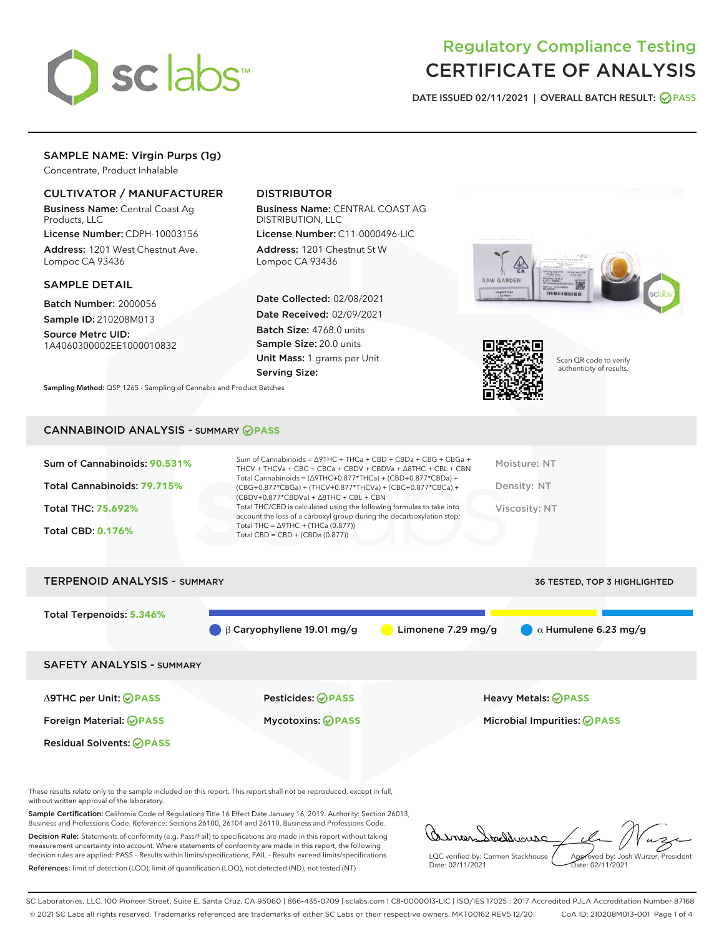

# Regulatory Compliance Testing CERTIFICATE OF ANALYSIS

DATE ISSUED 02/11/2021 | OVERALL BATCH RESULT: @ PASS

# SAMPLE NAME: Virgin Purps (1g)

Concentrate, Product Inhalable

## CULTIVATOR / MANUFACTURER

Business Name: Central Coast Ag Products, LLC

License Number: CDPH-10003156 Address: 1201 West Chestnut Ave. Lompoc CA 93436

#### SAMPLE DETAIL

Batch Number: 2000056 Sample ID: 210208M013

Source Metrc UID: 1A4060300002EE1000010832

# DISTRIBUTOR

Business Name: CENTRAL COAST AG DISTRIBUTION, LLC

License Number: C11-0000496-LIC Address: 1201 Chestnut St W Lompoc CA 93436

Date Collected: 02/08/2021 Date Received: 02/09/2021 Batch Size: 4768.0 units Sample Size: 20.0 units Unit Mass: 1 grams per Unit Serving Size:







Scan QR code to verify authenticity of results.

#### CANNABINOID ANALYSIS - SUMMARY **PASS**

| Sum of Cannabinoids: 90.531%<br>Total Cannabinoids: 79.715%<br>Total THC: 75.692%<br><b>Total CBD: 0.176%</b> | Sum of Cannabinoids = $\triangle$ 9THC + THCa + CBD + CBDa + CBG + CBGa +<br>THCV + THCVa + CBC + CBCa + CBDV + CBDVa + $\land$ 8THC + CBL + CBN<br>Total Cannabinoids = $(\Delta$ 9THC+0.877*THCa) + (CBD+0.877*CBDa) +<br>(CBG+0.877*CBGa) + (THCV+0.877*THCVa) + (CBC+0.877*CBCa) +<br>$(CBDV+0.877*CBDVa) + \Delta 8THC + CBL + CBN$<br>Total THC/CBD is calculated using the following formulas to take into<br>account the loss of a carboxyl group during the decarboxylation step:<br>Total THC = $\triangle$ 9THC + (THCa (0.877))<br>Total CBD = $CBD + (CBDa (0.877))$ | Moisture: NT<br>Density: NT<br>Viscosity: NT |
|---------------------------------------------------------------------------------------------------------------|-----------------------------------------------------------------------------------------------------------------------------------------------------------------------------------------------------------------------------------------------------------------------------------------------------------------------------------------------------------------------------------------------------------------------------------------------------------------------------------------------------------------------------------------------------------------------------------|----------------------------------------------|
| <b>TERPENOID ANALYSIS - SUMMARY</b>                                                                           |                                                                                                                                                                                                                                                                                                                                                                                                                                                                                                                                                                                   | <b>36 TESTED. TOP 3 HIGHLIGHTED</b>          |

Total Terpenoids: **5.346%** β Caryophyllene 19.01 mg/g Limonene 7.29 mg/g α Humulene 6.23 mg/g SAFETY ANALYSIS - SUMMARY Δ9THC per Unit: **PASS** Pesticides: **PASS** Heavy Metals: **PASS** Foreign Material: **PASS** Mycotoxins: **PASS** Microbial Impurities: **PASS** Residual Solvents: **PASS** 

These results relate only to the sample included on this report. This report shall not be reproduced, except in full, without written approval of the laboratory.

Sample Certification: California Code of Regulations Title 16 Effect Date January 16, 2019. Authority: Section 26013, Business and Professions Code. Reference: Sections 26100, 26104 and 26110, Business and Professions Code.

Decision Rule: Statements of conformity (e.g. Pass/Fail) to specifications are made in this report without taking measurement uncertainty into account. Where statements of conformity are made in this report, the following decision rules are applied: PASS – Results within limits/specifications, FAIL – Results exceed limits/specifications. References: limit of detection (LOD), limit of quantification (LOQ), not detected (ND), not tested (NT)

addrouse LQC verified by: Carmen Stackhouse Approved by: Josh Wurzer, President Date: 02/11/2021 Date: 02/11/2021

SC Laboratories, LLC. 100 Pioneer Street, Suite E, Santa Cruz, CA 95060 | 866-435-0709 | sclabs.com | C8-0000013-LIC | ISO/IES 17025 : 2017 Accredited PJLA Accreditation Number 87168 © 2021 SC Labs all rights reserved. Trademarks referenced are trademarks of either SC Labs or their respective owners. MKT00162 REV5 12/20 CoA ID: 210208M013-001 Page 1 of 4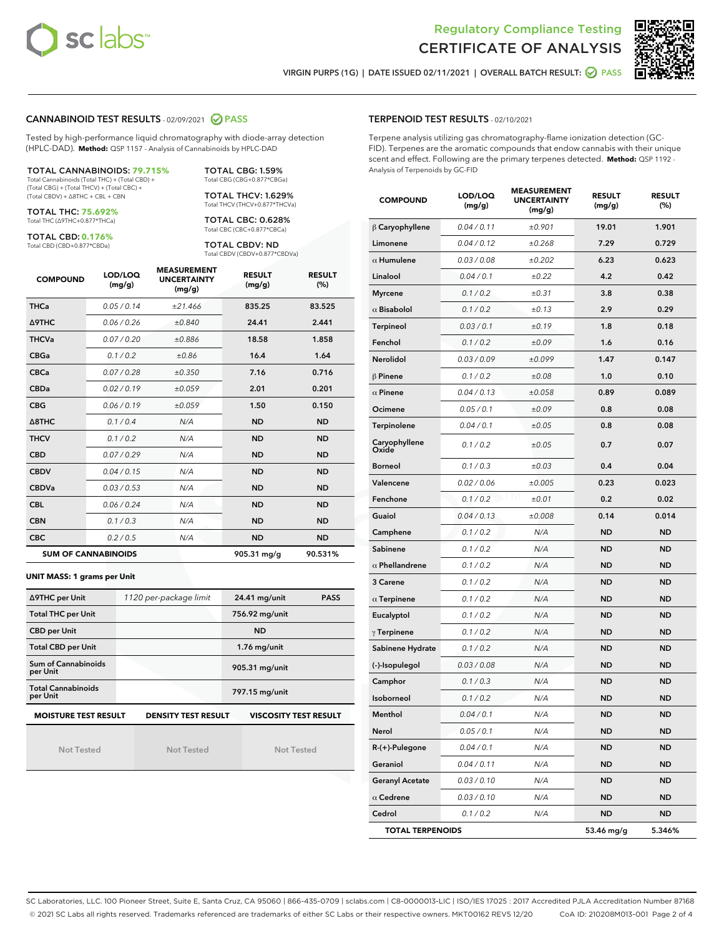



VIRGIN PURPS (1G) | DATE ISSUED 02/11/2021 | OVERALL BATCH RESULT: O PASS

#### CANNABINOID TEST RESULTS - 02/09/2021 2 PASS

Tested by high-performance liquid chromatography with diode-array detection (HPLC-DAD). **Method:** QSP 1157 - Analysis of Cannabinoids by HPLC-DAD

#### TOTAL CANNABINOIDS: **79.715%**

Total Cannabinoids (Total THC) + (Total CBD) + (Total CBG) + (Total THCV) + (Total CBC) + (Total CBDV) + ∆8THC + CBL + CBN

TOTAL THC: **75.692%** Total THC (∆9THC+0.877\*THCa)

TOTAL CBD: **0.176%**

Total CBD (CBD+0.877\*CBDa)

TOTAL CBG: 1.59% Total CBG (CBG+0.877\*CBGa)

TOTAL THCV: 1.629% Total THCV (THCV+0.877\*THCVa)

TOTAL CBC: 0.628% Total CBC (CBC+0.877\*CBCa)

TOTAL CBDV: ND Total CBDV (CBDV+0.877\*CBDVa)

| <b>COMPOUND</b>  | LOD/LOQ<br>(mg/g)          | <b>MEASUREMENT</b><br><b>UNCERTAINTY</b><br>(mg/g) | <b>RESULT</b><br>(mg/g) | <b>RESULT</b><br>(%) |
|------------------|----------------------------|----------------------------------------------------|-------------------------|----------------------|
| <b>THCa</b>      | 0.05/0.14                  | ±21.466                                            | 835.25                  | 83.525               |
| <b>A9THC</b>     | 0.06/0.26                  | ±0.840                                             | 24.41                   | 2.441                |
| <b>THCVa</b>     | 0.07 / 0.20                | ±0.886                                             | 18.58                   | 1.858                |
| <b>CBGa</b>      | 0.1/0.2                    | ±0.86                                              | 16.4                    | 1.64                 |
| <b>CBCa</b>      | 0.07/0.28                  | ±0.350                                             | 7.16                    | 0.716                |
| <b>CBDa</b>      | 0.02/0.19                  | ±0.059                                             | 2.01                    | 0.201                |
| <b>CBG</b>       | 0.06/0.19                  | ±0.059                                             | 1.50                    | 0.150                |
| $\triangle$ 8THC | 0.1/0.4                    | N/A                                                | <b>ND</b>               | <b>ND</b>            |
| <b>THCV</b>      | 0.1/0.2                    | N/A                                                | <b>ND</b>               | <b>ND</b>            |
| <b>CBD</b>       | 0.07/0.29                  | N/A                                                | <b>ND</b>               | <b>ND</b>            |
| <b>CBDV</b>      | 0.04 / 0.15                | N/A                                                | <b>ND</b>               | <b>ND</b>            |
| <b>CBDVa</b>     | 0.03/0.53                  | N/A                                                | <b>ND</b>               | <b>ND</b>            |
| <b>CBL</b>       | 0.06 / 0.24                | N/A                                                | <b>ND</b>               | <b>ND</b>            |
| <b>CBN</b>       | 0.1/0.3                    | N/A                                                | <b>ND</b>               | <b>ND</b>            |
| <b>CBC</b>       | 0.2 / 0.5                  | N/A                                                | <b>ND</b>               | <b>ND</b>            |
|                  | <b>SUM OF CANNABINOIDS</b> |                                                    | 905.31 mg/g             | 90.531%              |

#### **UNIT MASS: 1 grams per Unit**

| ∆9THC per Unit                                                                            | 1120 per-package limit | 24.41 mg/unit<br><b>PASS</b> |  |  |  |
|-------------------------------------------------------------------------------------------|------------------------|------------------------------|--|--|--|
| <b>Total THC per Unit</b>                                                                 |                        | 756.92 mg/unit               |  |  |  |
| <b>CBD per Unit</b>                                                                       |                        | <b>ND</b>                    |  |  |  |
| <b>Total CBD per Unit</b>                                                                 |                        | $1.76$ mg/unit               |  |  |  |
| Sum of Cannabinoids<br>per Unit                                                           |                        | 905.31 mg/unit               |  |  |  |
| <b>Total Cannabinoids</b><br>per Unit                                                     |                        | 797.15 mg/unit               |  |  |  |
| <b>MOISTURE TEST RESULT</b><br><b>DENSITY TEST RESULT</b><br><b>VISCOSITY TEST RESULT</b> |                        |                              |  |  |  |

Not Tested

Not Tested

Not Tested

#### TERPENOID TEST RESULTS - 02/10/2021

Terpene analysis utilizing gas chromatography-flame ionization detection (GC-FID). Terpenes are the aromatic compounds that endow cannabis with their unique scent and effect. Following are the primary terpenes detected. **Method:** QSP 1192 - Analysis of Terpenoids by GC-FID

| <b>COMPOUND</b>         | LOD/LOQ<br>(mg/g) | <b>MEASUREMENT</b><br><b>UNCERTAINTY</b><br>(mq/q) | <b>RESULT</b><br>(mg/g) | <b>RESULT</b><br>(%) |
|-------------------------|-------------------|----------------------------------------------------|-------------------------|----------------------|
| $\beta$ Caryophyllene   | 0.04 / 0.11       | ±0.901                                             | 19.01                   | 1.901                |
| Limonene                | 0.04 / 0.12       | ±0.268                                             | 7.29                    | 0.729                |
| $\alpha$ Humulene       | 0.03 / 0.08       | ±0.202                                             | 6.23                    | 0.623                |
| Linalool                | 0.04 / 0.1        | ±0.22                                              | 4.2                     | 0.42                 |
| <b>Myrcene</b>          | 0.1 / 0.2         | ±0.31                                              | 3.8                     | 0.38                 |
| $\alpha$ Bisabolol      | 0.1 / 0.2         | ±0.13                                              | 2.9                     | 0.29                 |
| <b>Terpineol</b>        | 0.03 / 0.1        | ±0.19                                              | 1.8                     | 0.18                 |
| Fenchol                 | 0.1 / 0.2         | ±0.09                                              | 1.6                     | 0.16                 |
| Nerolidol               | 0.03 / 0.09       | ±0.099                                             | 1.47                    | 0.147                |
| $\beta$ Pinene          | 0.1 / 0.2         | ±0.08                                              | 1.0                     | 0.10                 |
| $\alpha$ Pinene         | 0.04 / 0.13       | ±0.058                                             | 0.89                    | 0.089                |
| Ocimene                 | 0.05 / 0.1        | ±0.09                                              | 0.8                     | 0.08                 |
| Terpinolene             | 0.04 / 0.1        | ±0.05                                              | 0.8                     | 0.08                 |
| Caryophyllene<br>Oxide  | 0.1 / 0.2         | ±0.05                                              | 0.7                     | 0.07                 |
| <b>Borneol</b>          | 0.1 / 0.3         | ±0.03                                              | 0.4                     | 0.04                 |
| Valencene               | 0.02 / 0.06       | ±0.005                                             | 0.23                    | 0.023                |
| Fenchone                | 0.1 / 0.2         | ±0.01                                              | 0.2                     | 0.02                 |
| Guaiol                  | 0.04 / 0.13       | ±0.008                                             | 0.14                    | 0.014                |
| Camphene                | 0.1 / 0.2         | N/A                                                | ND                      | <b>ND</b>            |
| Sabinene                | 0.1 / 0.2         | N/A                                                | <b>ND</b>               | <b>ND</b>            |
| $\alpha$ Phellandrene   | 0.1 / 0.2         | N/A                                                | <b>ND</b>               | <b>ND</b>            |
| 3 Carene                | 0.1 / 0.2         | N/A                                                | ND                      | <b>ND</b>            |
| $\alpha$ Terpinene      | 0.1 / 0.2         | N/A                                                | <b>ND</b>               | <b>ND</b>            |
| Eucalyptol              | 0.1 / 0.2         | N/A                                                | ND                      | <b>ND</b>            |
| $\gamma$ Terpinene      | 0.1 / 0.2         | N/A                                                | ND                      | <b>ND</b>            |
| Sabinene Hydrate        | 0.1 / 0.2         | N/A                                                | <b>ND</b>               | <b>ND</b>            |
| (-)-Isopulegol          | 0.03 / 0.08       | N/A                                                | ND                      | <b>ND</b>            |
| Camphor                 | 0.1 / 0.3         | N/A                                                | ND                      | <b>ND</b>            |
| Isoborneol              | 0.1 / 0.2         | N/A                                                | ND                      | <b>ND</b>            |
| Menthol                 | 0.04/0.1          | N/A                                                | <b>ND</b>               | <b>ND</b>            |
| Nerol                   | 0.05 / 0.1        | N/A                                                | ND                      | ND                   |
| R-(+)-Pulegone          | 0.04 / 0.1        | N/A                                                | <b>ND</b>               | ND                   |
| Geraniol                | 0.04 / 0.11       | N/A                                                | ND                      | ND                   |
| <b>Geranyl Acetate</b>  | 0.03 / 0.10       | N/A                                                | ND                      | ND                   |
| $\alpha$ Cedrene        | 0.03 / 0.10       | N/A                                                | ND                      | ND                   |
| Cedrol                  | 0.1 / 0.2         | N/A                                                | ND                      | ND                   |
| <b>TOTAL TERPENOIDS</b> |                   |                                                    | 53.46 mg/g              | 5.346%               |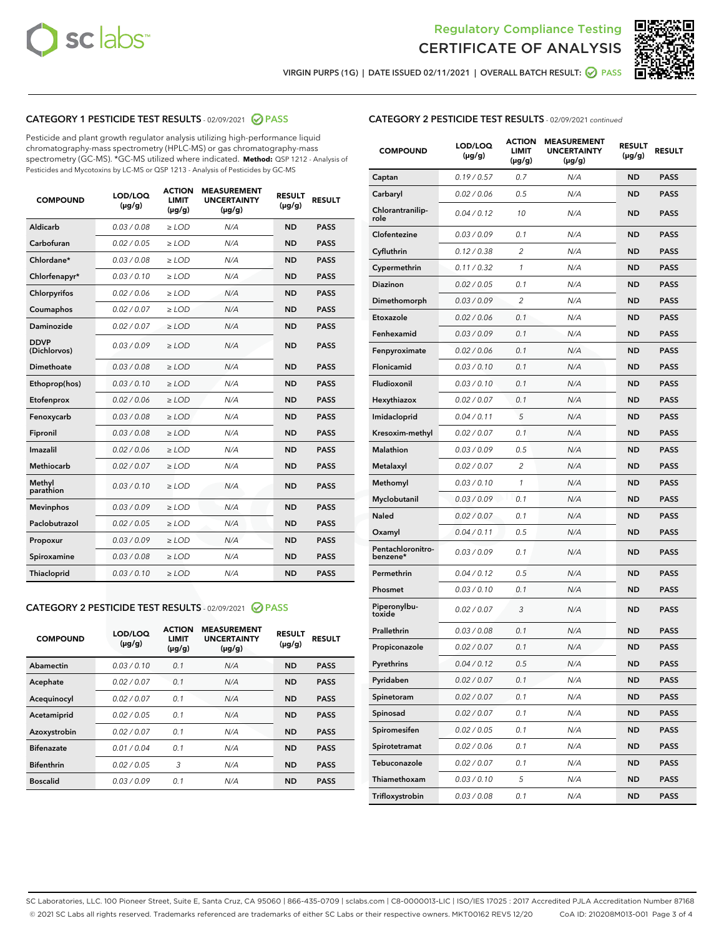



VIRGIN PURPS (1G) | DATE ISSUED 02/11/2021 | OVERALL BATCH RESULT: ● PASS

## CATEGORY 1 PESTICIDE TEST RESULTS - 02/09/2021 2 PASS

Pesticide and plant growth regulator analysis utilizing high-performance liquid chromatography-mass spectrometry (HPLC-MS) or gas chromatography-mass spectrometry (GC-MS). \*GC-MS utilized where indicated. **Method:** QSP 1212 - Analysis of Pesticides and Mycotoxins by LC-MS or QSP 1213 - Analysis of Pesticides by GC-MS

| <b>COMPOUND</b>             | LOD/LOQ<br>$(\mu g/g)$ | <b>ACTION</b><br>LIMIT<br>$(\mu g/g)$ | <b>MEASUREMENT</b><br><b>UNCERTAINTY</b><br>$(\mu g/g)$ | <b>RESULT</b><br>$(\mu g/g)$ | <b>RESULT</b> |
|-----------------------------|------------------------|---------------------------------------|---------------------------------------------------------|------------------------------|---------------|
| Aldicarb                    | 0.03 / 0.08            | $\ge$ LOD                             | N/A                                                     | <b>ND</b>                    | <b>PASS</b>   |
| Carbofuran                  | 0.02 / 0.05            | $\ge$ LOD                             | N/A                                                     | <b>ND</b>                    | <b>PASS</b>   |
| Chlordane*                  | 0.03 / 0.08            | $\ge$ LOD                             | N/A                                                     | <b>ND</b>                    | <b>PASS</b>   |
| Chlorfenapyr*               | 0.03/0.10              | $\ge$ LOD                             | N/A                                                     | <b>ND</b>                    | <b>PASS</b>   |
| Chlorpyrifos                | 0.02 / 0.06            | $\ge$ LOD                             | N/A                                                     | <b>ND</b>                    | <b>PASS</b>   |
| Coumaphos                   | 0.02 / 0.07            | $\ge$ LOD                             | N/A                                                     | <b>ND</b>                    | <b>PASS</b>   |
| Daminozide                  | 0.02/0.07              | $\ge$ LOD                             | N/A                                                     | <b>ND</b>                    | <b>PASS</b>   |
| <b>DDVP</b><br>(Dichlorvos) | 0.03/0.09              | $\ge$ LOD                             | N/A                                                     | <b>ND</b>                    | <b>PASS</b>   |
| Dimethoate                  | 0.03 / 0.08            | $>$ LOD                               | N/A                                                     | <b>ND</b>                    | <b>PASS</b>   |
| Ethoprop(hos)               | 0.03/0.10              | $\ge$ LOD                             | N/A                                                     | <b>ND</b>                    | <b>PASS</b>   |
| Etofenprox                  | 0.02/0.06              | $>$ LOD                               | N/A                                                     | <b>ND</b>                    | <b>PASS</b>   |
| Fenoxycarb                  | 0.03/0.08              | $>$ LOD                               | N/A                                                     | <b>ND</b>                    | <b>PASS</b>   |
| Fipronil                    | 0.03 / 0.08            | $>$ LOD                               | N/A                                                     | <b>ND</b>                    | <b>PASS</b>   |
| Imazalil                    | 0.02/0.06              | $>$ LOD                               | N/A                                                     | <b>ND</b>                    | <b>PASS</b>   |
| <b>Methiocarb</b>           | 0.02 / 0.07            | $\ge$ LOD                             | N/A                                                     | <b>ND</b>                    | <b>PASS</b>   |
| Methyl<br>parathion         | 0.03/0.10              | $\ge$ LOD                             | N/A                                                     | <b>ND</b>                    | <b>PASS</b>   |
| <b>Mevinphos</b>            | 0.03/0.09              | $\ge$ LOD                             | N/A                                                     | <b>ND</b>                    | <b>PASS</b>   |
| Paclobutrazol               | 0.02 / 0.05            | $\ge$ LOD                             | N/A                                                     | <b>ND</b>                    | <b>PASS</b>   |
| Propoxur                    | 0.03 / 0.09            | $\ge$ LOD                             | N/A                                                     | <b>ND</b>                    | <b>PASS</b>   |
| Spiroxamine                 | 0.03 / 0.08            | $\ge$ LOD                             | N/A                                                     | <b>ND</b>                    | <b>PASS</b>   |
| Thiacloprid                 | 0.03/0.10              | $\ge$ LOD                             | N/A                                                     | <b>ND</b>                    | <b>PASS</b>   |

#### CATEGORY 2 PESTICIDE TEST RESULTS - 02/09/2021 @ PASS

| <b>COMPOUND</b>   | LOD/LOQ<br>$(\mu g/g)$ | <b>ACTION</b><br><b>LIMIT</b><br>$(\mu g/g)$ | <b>MEASUREMENT</b><br><b>UNCERTAINTY</b><br>$(\mu g/g)$ | <b>RESULT</b><br>$(\mu g/g)$ | <b>RESULT</b> |
|-------------------|------------------------|----------------------------------------------|---------------------------------------------------------|------------------------------|---------------|
| Abamectin         | 0.03/0.10              | 0.1                                          | N/A                                                     | <b>ND</b>                    | <b>PASS</b>   |
| Acephate          | 0.02/0.07              | 0.1                                          | N/A                                                     | <b>ND</b>                    | <b>PASS</b>   |
| Acequinocyl       | 0.02/0.07              | 0.1                                          | N/A                                                     | <b>ND</b>                    | <b>PASS</b>   |
| Acetamiprid       | 0.02/0.05              | 0.1                                          | N/A                                                     | <b>ND</b>                    | <b>PASS</b>   |
| Azoxystrobin      | 0.02/0.07              | 0.1                                          | N/A                                                     | <b>ND</b>                    | <b>PASS</b>   |
| <b>Bifenazate</b> | 0.01/0.04              | 0.1                                          | N/A                                                     | <b>ND</b>                    | <b>PASS</b>   |
| <b>Bifenthrin</b> | 0.02/0.05              | 3                                            | N/A                                                     | <b>ND</b>                    | <b>PASS</b>   |
| <b>Boscalid</b>   | 0.03/0.09              | 0.1                                          | N/A                                                     | <b>ND</b>                    | <b>PASS</b>   |

## CATEGORY 2 PESTICIDE TEST RESULTS - 02/09/2021 continued

| <b>COMPOUND</b>               | LOD/LOQ<br>(µg/g) | <b>ACTION</b><br>LIMIT<br>$(\mu g/g)$ | <b>MEASUREMENT</b><br><b>UNCERTAINTY</b><br>(µg/g) | <b>RESULT</b><br>(µg/g) | <b>RESULT</b> |
|-------------------------------|-------------------|---------------------------------------|----------------------------------------------------|-------------------------|---------------|
| Captan                        | 0.19/0.57         | 0.7                                   | N/A                                                | ND                      | <b>PASS</b>   |
| Carbaryl                      | 0.02 / 0.06       | 0.5                                   | N/A                                                | ND                      | <b>PASS</b>   |
| Chlorantranilip-<br>role      | 0.04 / 0.12       | 10                                    | N/A                                                | <b>ND</b>               | <b>PASS</b>   |
| Clofentezine                  | 0.03 / 0.09       | 0.1                                   | N/A                                                | <b>ND</b>               | <b>PASS</b>   |
| Cyfluthrin                    | 0.12 / 0.38       | 2                                     | N/A                                                | ND                      | <b>PASS</b>   |
| Cypermethrin                  | 0.11/0.32         | 1                                     | N/A                                                | ND                      | <b>PASS</b>   |
| Diazinon                      | 0.02 / 0.05       | 0.1                                   | N/A                                                | <b>ND</b>               | <b>PASS</b>   |
| Dimethomorph                  | 0.03/0.09         | 2                                     | N/A                                                | ND                      | <b>PASS</b>   |
| Etoxazole                     | 0.02 / 0.06       | 0.1                                   | N/A                                                | <b>ND</b>               | <b>PASS</b>   |
| Fenhexamid                    | 0.03/0.09         | 0.1                                   | N/A                                                | ND                      | <b>PASS</b>   |
| Fenpyroximate                 | 0.02 / 0.06       | 0.1                                   | N/A                                                | ND                      | <b>PASS</b>   |
| Flonicamid                    | 0.03 / 0.10       | 0.1                                   | N/A                                                | ND                      | <b>PASS</b>   |
| Fludioxonil                   | 0.03/0.10         | 0.1                                   | N/A                                                | <b>ND</b>               | <b>PASS</b>   |
| Hexythiazox                   | 0.02 / 0.07       | 0.1                                   | N/A                                                | ND                      | <b>PASS</b>   |
| Imidacloprid                  | 0.04 / 0.11       | 5                                     | N/A                                                | ND                      | <b>PASS</b>   |
| Kresoxim-methyl               | 0.02 / 0.07       | 0.1                                   | N/A                                                | ND                      | <b>PASS</b>   |
| Malathion                     | 0.03/0.09         | 0.5                                   | N/A                                                | ND                      | <b>PASS</b>   |
| Metalaxyl                     | 0.02 / 0.07       | $\overline{2}$                        | N/A                                                | ND                      | <b>PASS</b>   |
| Methomyl                      | 0.03 / 0.10       | 1                                     | N/A                                                | <b>ND</b>               | <b>PASS</b>   |
| Myclobutanil                  | 0.03/0.09         | 0.1                                   | N/A                                                | ND                      | <b>PASS</b>   |
| Naled                         | 0.02 / 0.07       | 0.1                                   | N/A                                                | ND                      | <b>PASS</b>   |
| Oxamyl                        | 0.04 / 0.11       | 0.5                                   | N/A                                                | <b>ND</b>               | <b>PASS</b>   |
| Pentachloronitro-<br>benzene* | 0.03 / 0.09       | 0.1                                   | N/A                                                | <b>ND</b>               | <b>PASS</b>   |
| Permethrin                    | 0.04 / 0.12       | 0.5                                   | N/A                                                | <b>ND</b>               | <b>PASS</b>   |
| Phosmet                       | 0.03 / 0.10       | 0.1                                   | N/A                                                | ND                      | <b>PASS</b>   |
| Piperonylbu-<br>toxide        | 0.02 / 0.07       | 3                                     | N/A                                                | <b>ND</b>               | <b>PASS</b>   |
| Prallethrin                   | 0.03 / 0.08       | 0.1                                   | N/A                                                | <b>ND</b>               | <b>PASS</b>   |
| Propiconazole                 | 0.02 / 0.07       | 0.1                                   | N/A                                                | ND                      | <b>PASS</b>   |
| Pyrethrins                    | 0.04 / 0.12       | 0.5                                   | N/A                                                | ND                      | PASS          |
| Pyridaben                     | 0.02 / 0.07       | 0.1                                   | N/A                                                | <b>ND</b>               | <b>PASS</b>   |
| Spinetoram                    | 0.02 / 0.07       | 0.1                                   | N/A                                                | <b>ND</b>               | <b>PASS</b>   |
| Spinosad                      | 0.02 / 0.07       | 0.1                                   | N/A                                                | <b>ND</b>               | <b>PASS</b>   |
| Spiromesifen                  | 0.02 / 0.05       | 0.1                                   | N/A                                                | <b>ND</b>               | <b>PASS</b>   |
| Spirotetramat                 | 0.02 / 0.06       | 0.1                                   | N/A                                                | <b>ND</b>               | <b>PASS</b>   |
| Tebuconazole                  | 0.02 / 0.07       | 0.1                                   | N/A                                                | <b>ND</b>               | <b>PASS</b>   |
| Thiamethoxam                  | 0.03 / 0.10       | 5                                     | N/A                                                | <b>ND</b>               | <b>PASS</b>   |
| Trifloxystrobin               | 0.03 / 0.08       | 0.1                                   | N/A                                                | <b>ND</b>               | <b>PASS</b>   |